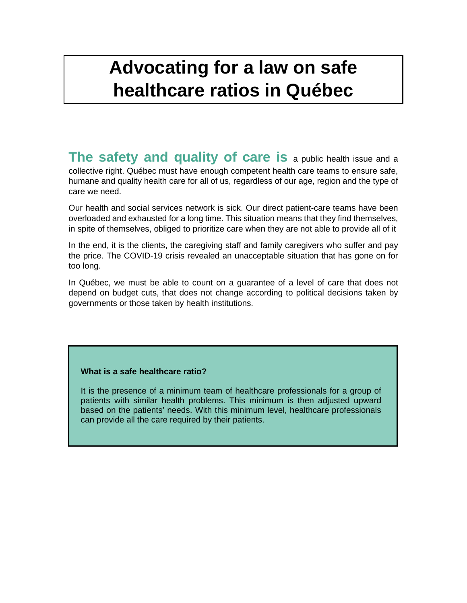## **Advocating for a law on safe healthcare ratios in Québec**

**The safety and quality of care is** a public health issue and a collective right. Québec must have enough competent health care teams to ensure safe, humane and quality health care for all of us, regardless of our age, region and the type of care we need.

Our health and social services network is sick. Our direct patient-care teams have been overloaded and exhausted for a long time. This situation means that they find themselves, in spite of themselves, obliged to prioritize care when they are not able to provide all of it

In the end, it is the clients, the caregiving staff and family caregivers who suffer and pay the price. The COVID-19 crisis revealed an unacceptable situation that has gone on for too long.

In Québec, we must be able to count on a guarantee of a level of care that does not depend on budget cuts, that does not change according to political decisions taken by governments or those taken by health institutions.

### **What is a safe healthcare ratio?**

It is the presence of a minimum team of healthcare professionals for a group of patients with similar health problems. This minimum is then adjusted upward based on the patients' needs. With this minimum level, healthcare professionals can provide all the care required by their patients.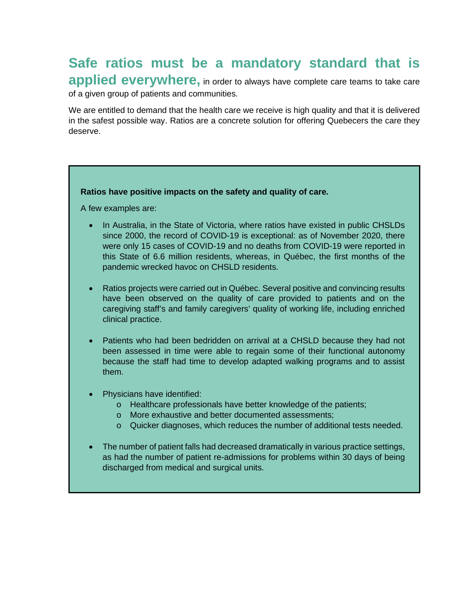# **Safe ratios must be a mandatory standard that is**

**applied everywhere**, in order to always have complete care teams to take care of a given group of patients and communities.

We are entitled to demand that the health care we receive is high quality and that it is delivered in the safest possible way. Ratios are a concrete solution for offering Quebecers the care they deserve.

#### **Ratios have positive impacts on the safety and quality of care.**

A few examples are:

- In Australia, in the State of Victoria, where ratios have existed in public CHSLDs since 2000, the record of COVID-19 is exceptional: as of November 2020, there were only 15 cases of COVID-19 and no deaths from COVID-19 were reported in this State of 6.6 million residents, whereas, in Québec, the first months of the pandemic wrecked havoc on CHSLD residents.
- Ratios projects were carried out in Québec. Several positive and convincing results have been observed on the quality of care provided to patients and on the caregiving staff's and family caregivers' quality of working life, including enriched clinical practice.
- Patients who had been bedridden on arrival at a CHSLD because they had not been assessed in time were able to regain some of their functional autonomy because the staff had time to develop adapted walking programs and to assist them.
- Physicians have identified:
	- o Healthcare professionals have better knowledge of the patients;
	- o More exhaustive and better documented assessments;
	- o Quicker diagnoses, which reduces the number of additional tests needed.
- The number of patient falls had decreased dramatically in various practice settings, as had the number of patient re-admissions for problems within 30 days of being discharged from medical and surgical units.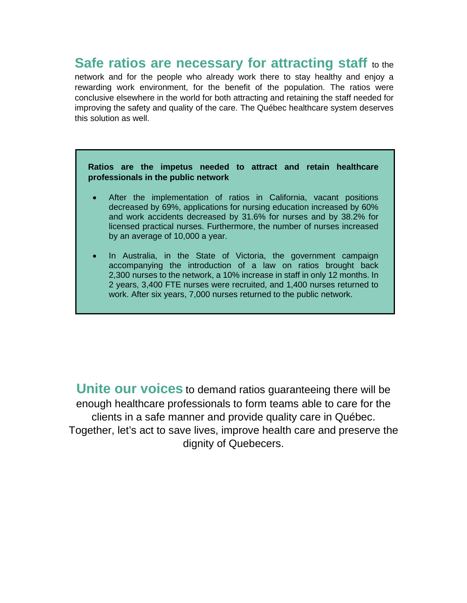### **Safe ratios are necessary for attracting staff** to the

network and for the people who already work there to stay healthy and enjoy a rewarding work environment, for the benefit of the population. The ratios were conclusive elsewhere in the world for both attracting and retaining the staff needed for improving the safety and quality of the care. The Québec healthcare system deserves this solution as well.

#### **Ratios are the impetus needed to attract and retain healthcare professionals in the public network**

- After the implementation of ratios in California, vacant positions decreased by 69%, applications for nursing education increased by 60% and work accidents decreased by 31.6% for nurses and by 38.2% for licensed practical nurses. Furthermore, the number of nurses increased by an average of 10,000 a year.
- In Australia, in the State of Victoria, the government campaign accompanying the introduction of a law on ratios brought back 2,300 nurses to the network, a 10% increase in staff in only 12 months. In 2 years, 3,400 FTE nurses were recruited, and 1,400 nurses returned to work. After six years, 7,000 nurses returned to the public network.

**Unite our voices** to demand ratios guaranteeing there will be enough healthcare professionals to form teams able to care for the clients in a safe manner and provide quality care in Québec. Together, let's act to save lives, improve health care and preserve the dignity of Quebecers.